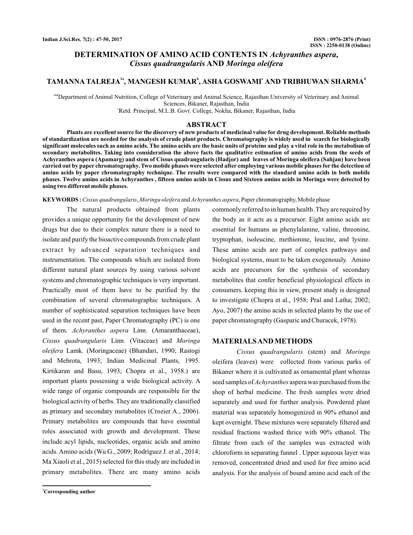# **DETERMINATION OF AMINO ACID CONTENTS IN Achyranthes aspera, AND** *Cissus quadrangularis Moringa oleifera*

# TAMANNA TALREJA<sup>1a</sup>, MANGESH KUMAR<sup>b</sup>, ASHA GOSWAMI<sup>c</sup> AND TRIBHUWAN SHARMA<sup>d</sup>

<sup>abd</sup>Department of Animal Nutrition, College of Veterinary and Animal Science, Rajasthan University of Veterinary and Animal <sup>e</sup>Retd. Principal, M.L.B. Govt. College, Nokha, Bikaner, Rajasthan, India Sciences, Bikaner, Rajasthan, India

# **ABSTRACT**

**Plants are excellent source for the discovery of new products of medicinal value for drug development. Reliable methods of standardization are needed for the analysis of crude plant products. Chromatography is widely used in search for biologically significant molecules such as amino acids. The amino acids are the basic units of proteins and play a vital role in the metabolism of secondary metabolites. Taking into consideration the above facts the qualitative estimation of amino acids from the seeds of Achyranthes aspera (Apamarg) and stem of Cissus quadrangularis (Hadjor) and leaves of Moringa oleifera (Sahjan) have been carried out by paper chromatography. Two mobile phases were selected after employing various mobile phases for the detection of amino acids by paper chromatography technique. The results were compared with the standard amino acids in both mobile phases. Twelve amino acids in Achyranthes , fifteen amino acids in Cissus and Sixteen amino acids in Moringa were detected by using two different mobile phases.**

#### KEYWORDS: Cissus quadrangularis, Moringa oleifera and Achyranthes aspera, Paper chromatography, Mobile phase

The natural products obtained from plants provides a unique opportunity for the development of new drugs but due to their complex nature there is a need to isolate and purify the bioactive compounds from crude plant extract by advanced separation techniques and instrumentation. The compounds which are isolated from different natural plant sources by using various solvent systems and chromatographic techniques is very important. Practically most of them have to be purified by the combination of several chromatographic techniques. A number of sophisticated separation techniques have been used in the recent past, Paper Chromatography (PC) is one of them. Achyranthes aspera Linn. (Amaranthaceae), Cissus quadrangularis Linn. (Vitaceae) and Moringa Lamk. (Moringaceae) (Bhandari, 1990; Rastogi *oleifera*and Mehrota, 1993; Indian Medicinal Plants, 1995. Kirtikaran and Basu, 1993; Chopra et al., 1958.) are important plants possessing a wide biological activity. A wide range of organic compounds are responsible for the biological activity of herbs. They are traditionally classified as primary and secondary metabolites (Crozier A., 2006). Primary metabolites are compounds that have essential roles associated with growth and development. These include acyl lipids, nucleotides, organic acids and amino acids. Amino acids (Wu G., 2009; Rodríguez J. et al., 2014; Ma Xiaoli et al., 2015) selected for this study are included in primary metabolites. There are many amino acids

**<sup>1</sup>Corresponding author**

commonly referred to in human health .They are required by the body as it acts as a precursor. Eight amino acids are essential for humans as phenylalanine, valine, threonine, tryptophan, isoleucine, methionine, leucine, and lysine. These amino acids are part of complex pathways and biological systems, must to be taken exogenously. Amino acids are precursors for the synthesis of secondary metabolites that confer beneficial physiological effects in consumers. keeping this in view, present study is designed to investigate (Chopra et al., 1958; Pral and Latha; 2002; Ayo, 2007) the amino acids in selected plants by the use of paper chromatography (Gasparic and Churacek, 1978).

### **MATERIALSAND METHODS**

Cissus quadrangularis (stem) and Moringa oleifera (leaves) were collected from various parks of Bikaner where it is cultivated as ornamental plant whereas seed samples of *Achyranthes* aspera was purchased from the shop of herbal medicine. The fresh samples were dried separately and used for further analysis. Powdered plant material was separately homogenized in 90% ethanol and kept overnight. These mixtures were separately filtered and residual fractions washed thrice with 90% ethanol. The filtrate from each of the samples was extracted with chloroform in separating funnel . Upper aqueous layer was removed, concentrated dried and used for free amino acid analysis. For the analysis of bound amino acid each of the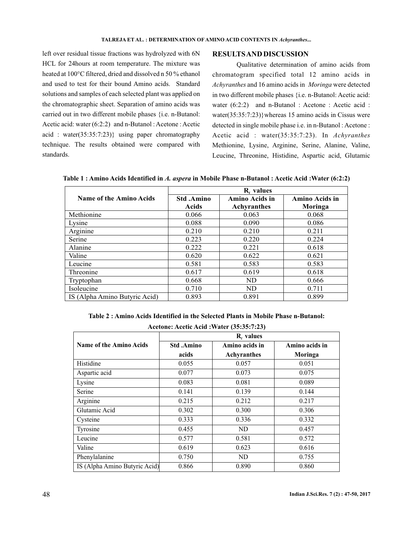left over residual tissue fractions was hydrolyzed with 6N HCL for 24hours at room temperature. The mixture was heated at 100°C filtered, dried and dissolved n 50 % ethanol and used to test for their bound Amino acids. Standard solutions and samples of each selected plant was applied on the chromatographic sheet. Separation of amino acids was carried out in two different mobile phases {i.e. n-Butanol: Acetic acid: water (6:2:2) and n-Butanol : Acetone : Acetic acid : water(35:35:7:23)} using paper chromatography technique. The results obtained were compared with standards.

# **RESULTSAND DISCUSSION**

Qualitative determination of amino acids from chromatogram specified total 12 amino acids in Achyranthes and 16 amino acids in Moringa were detected in two different mobile phases {i.e. n-Butanol: Acetic acid: water (6:2:2) and n-Butanol : Acetone : Acetic acid : water(35:35:7:23)}whereas 15 amino acids in Cissus were detected in single mobile phase i.e. in n-Butanol : Acetone : Acetic acid : water(35:35:7:23). In *Achyranthes* Methionine, Lysine, Arginine, Serine, Alanine, Valine, Leucine, Threonine, Histidine, Aspartic acid, Glutamic

Table 1 : Amino Acids Identified in A. aspera in Mobile Phase n-Butanol : Acetic Acid : Water (6:2:2)

|                               | R <sub>c</sub> values |                |                       |
|-------------------------------|-----------------------|----------------|-----------------------|
| Name of the Amino Acids       | <b>Std.Amino</b>      | Amino Acids in | <b>Amino Acids in</b> |
|                               | Acids                 | Achyranthes    | Moringa               |
| Methionine                    | 0.066                 | 0.063          | 0.068                 |
| Lysine                        | 0.088                 | 0.090          | 0.086                 |
| Arginine                      | 0.210                 | 0.210          | 0.211                 |
| Serine                        | 0.223                 | 0.220          | 0.224                 |
| Alanine                       | 0.222                 | 0.221          | 0.618                 |
| Valine                        | 0.620                 | 0.622          | 0.621                 |
| Leucine                       | 0.581                 | 0.583          | 0.583                 |
| Threonine                     | 0.617                 | 0.619          | 0.618                 |
| Tryptophan                    | 0.668                 | ND             | 0.666                 |
| Isoleucine                    | 0.710                 | ND             | 0.711                 |
| IS (Alpha Amino Butyric Acid) | 0.893                 | 0.891          | 0.899                 |

**Table 2 : Amino Acids Identified in the Selected Plants in Mobile Phase n-Butanol:**

**Acetone: Acetic Acid :Water (35:35:7:23)**

|                                | $Rf$ values      |                |                |  |
|--------------------------------|------------------|----------------|----------------|--|
| <b>Name of the Amino Acids</b> | <b>Std.Amino</b> | Amino acids in | Amino acids in |  |
|                                | acids            | Achyranthes    | Moringa        |  |
| Histidine                      | 0.055            | 0.057          | 0.051          |  |
| Aspartic acid                  | 0.077            | 0.073          | 0.075          |  |
| Lysine                         | 0.083            | 0.081          | 0.089          |  |
| Serine                         | 0.141            | 0.139          | 0.144          |  |
| Arginine                       | 0.215            | 0.212          | 0.217          |  |
| Glutamic Acid                  | 0.302            | 0.300          | 0.306          |  |
| Cysteine                       | 0.333            | 0.336          | 0.332          |  |
| Tyrosine                       | 0.455            | ND.            | 0.457          |  |
| Leucine                        | 0.577            | 0.581          | 0.572          |  |
| Valine                         | 0.619            | 0.623          | 0.616          |  |
| Phenylalanine                  | 0.750            | ND             | 0.755          |  |
| IS (Alpha Amino Butyric Acid)  | 0.866            | 0.890          | 0.860          |  |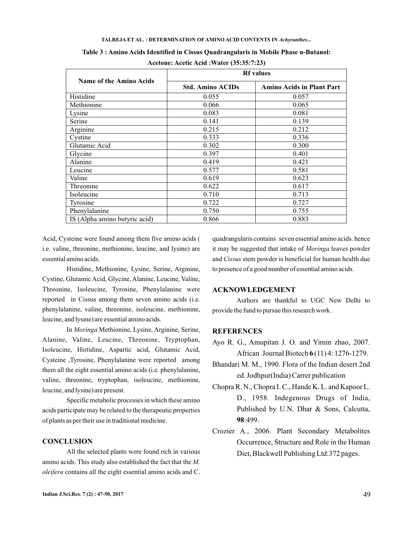#### TALREJA ET AL. : DETERMINATION OF AMINO ACID CONTENTS IN Achyranthes...

| Name of the Amino Acids       | <b>Rf</b> values        |                                  |  |
|-------------------------------|-------------------------|----------------------------------|--|
|                               | <b>Std. Amino ACIDs</b> | <b>Amino Acids in Plant Part</b> |  |
| Histidine                     | 0.055                   | 0.057                            |  |
| Methionine                    | 0.066                   | 0.065                            |  |
| Lysine                        | 0.083                   | 0.081                            |  |
| Serine                        | 0.141                   | 0.139                            |  |
| Arginine                      | 0.215                   | 0.212                            |  |
| Cystine                       | 0.333                   | 0.336                            |  |
| Glutamic Acid                 | 0.302                   | 0.300                            |  |
| Glycine                       | 0.397                   | 0.401                            |  |
| Alanine                       | 0.419                   | 0.421                            |  |
| Leucine                       | 0.577                   | 0.581                            |  |
| Valine                        | 0.619                   | 0.623                            |  |
| Threonine                     | 0.622                   | 0.617                            |  |
| Isoleucine                    | 0.710                   | 0.713                            |  |
| Tyrosine                      | 0.722                   | 0.727                            |  |
| Phenylalanine                 | 0.750                   | 0.755                            |  |
| IS (Alpha amino butyric acid) | 0.866                   | 0.883                            |  |

**Table 3 : Amino Acids Identified in Cissus Quadrangularis in Mobile Phase n-Butanol: Acetone: Acetic Acid :Water (35:35:7:23)**

Acid, Cysteine were found among them five amino acids ( i.e. valine, threonine, methionine, leucine, and lysine) are essential amino acids.

Histidine, Methionine, Lysine, Serine, Arginine, Cystine, Glutamic Acid, Glycine, Alanine, Leucine, Valine, Threonine, Isoleucine, Tyrosine, Phenylalanine were reported in Cissus among them seven amino acids (i.e. phenylalanine, valine, threonine, isoleucine, methionine, leucine, and lysine) are essential amino acids.

In Methionine, Lysine, Arginine, Serine, *Moringa* Alanine, Valine, Leucine, Threonine, Tryptophan, Isoleucine, Histidine, Aspartic acid, Glutamic Acid, Cysteine ,Tyrosine, Phenylalanine were reported among them all the eight essential amino acids (i.e. phenylalanine, valine, threonine, tryptophan, isoleucine, methionine, leucine, and lysine) are present.

Specific metabolic processes in which these amino acids participate may be related to the therapeutic properties of plants as per their use in traditional medicine.

# **CONCLUSION**

All the selected plants were found rich in various amino acids. This study also established the fact that the *M.* contains all the eight essential amino acids and C. *oleifera*

quadrangularis contains seven essential amino acids. hence it may be suggested that intake of Moringa leaves powder and Cissus stem powder is beneficial for human health due to presence of a good number of essential amino acids.

# **ACKNOWLEDGEMENT**

Authors are thankful to UGC New Delhi to provide the fund to pursue this research work.

### **REFERENCES**

- **6** African Journal Biotech (11) 4: 1276-1279. Ayo R. G., Amupitan J. O. and Yimin zhao, 2007.
- Bhandari M. M., 1990. Flora of the Indian desert 2nd ed. Jodhpur(India) Carrer publication
- **98** :499. Chopra R. N., Chopra I. C., Hande K. L. and Kapoor L. D., 1958. Indegenous Drugs of India, Published by U.N. Dhar & Sons, Calcutta,
- Crozier A., 2006. Plant Secondary Metabolites Occurrence, Structure and Role in the Human Diet, Blackwell Publishing Ltd:372 pages.